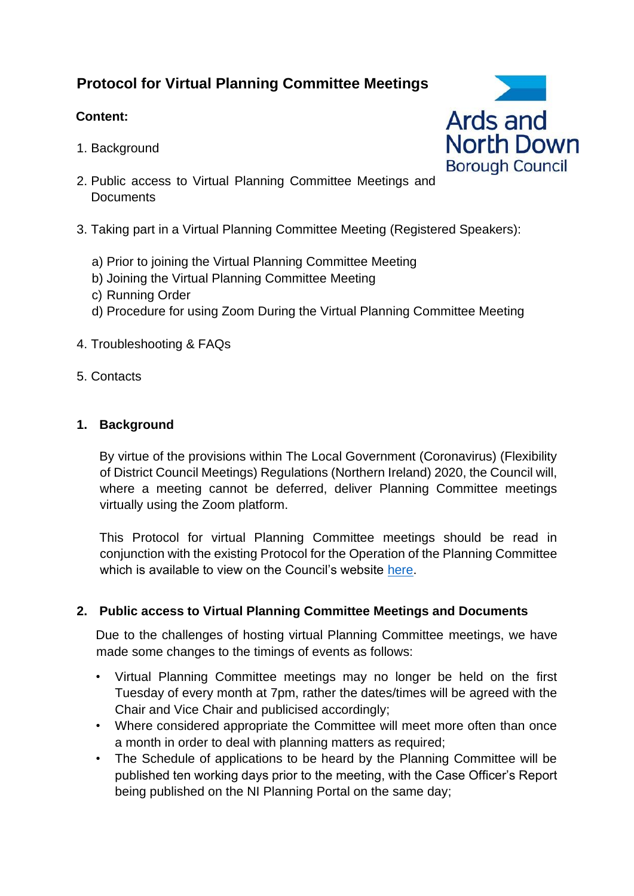# **Protocol for Virtual Planning Committee Meetings**

# **Content:**

- 1. Background
- 2. Public access to Virtual Planning Committee Meetings and **Documents**
- 3. Taking part in a Virtual Planning Committee Meeting (Registered Speakers):
	- a) Prior to joining the Virtual Planning Committee Meeting
	- b) Joining the Virtual Planning Committee Meeting
	- c) Running Order
	- d) Procedure for using Zoom During the Virtual Planning Committee Meeting
- 4. Troubleshooting & FAQs
- 5. Contacts

# **1. Background**

By virtue of the provisions within The Local Government (Coronavirus) (Flexibility of District Council Meetings) Regulations (Northern Ireland) 2020, the Council will, where a meeting cannot be deferred, deliver Planning Committee meetings virtually using the Zoom platform.

This Protocol for virtual Planning Committee meetings should be read in conjunction with the existing Protocol for the Operation of the Planning Committee which is available to view on the Council's website [here.](https://www.ardsandnorthdown.gov.uk/downloads/planning-committee-protocol-may-2019_-_uploaded_to_website.pdf)

### **2. Public access to Virtual Planning Committee Meetings and Documents**

Due to the challenges of hosting virtual Planning Committee meetings, we have made some changes to the timings of events as follows:

- Virtual Planning Committee meetings may no longer be held on the first Tuesday of every month at 7pm, rather the dates/times will be agreed with the Chair and Vice Chair and publicised accordingly;
- Where considered appropriate the Committee will meet more often than once a month in order to deal with planning matters as required;
- The Schedule of applications to be heard by the Planning Committee will be published ten working days prior to the meeting, with the Case Officer's Report being published on the NI Planning Portal on the same day;

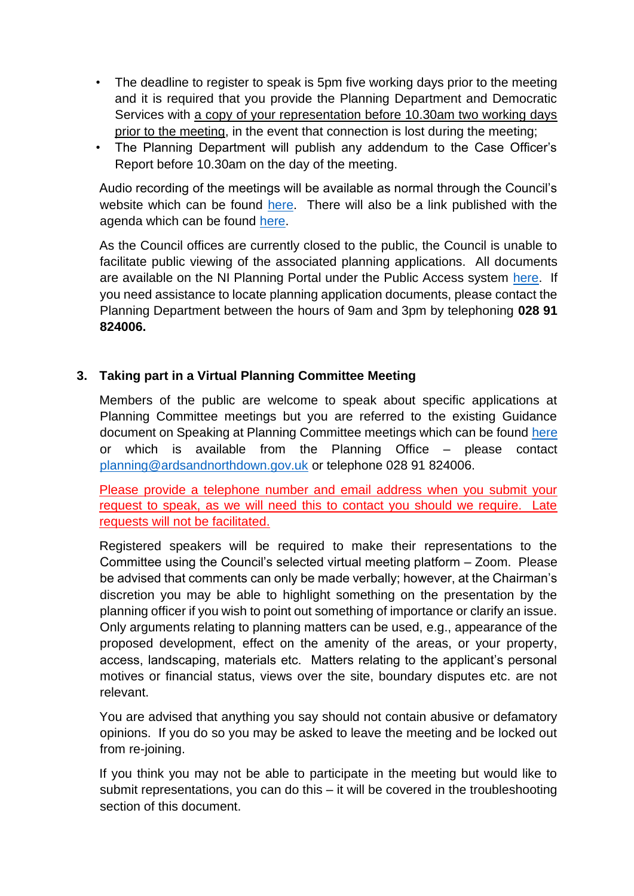- The deadline to register to speak is 5pm five working days prior to the meeting and it is required that you provide the Planning Department and Democratic Services with a copy of your representation before 10.30am two working days prior to the meeting, in the event that connection is lost during the meeting;
- The Planning Department will publish any addendum to the Case Officer's Report before 10.30am on the day of the meeting.

Audio recording of the meetings will be available as normal through the Council's website which can be found [here.](https://www.ardsandnorthdown.gov.uk/about-the-council/committee-and-council-meetings) There will also be a link published with the agenda which can be found [here.](https://www.ardsandnorthdown.gov.uk/about-the-council/committee-and-council-meetings)

As the Council offices are currently closed to the public, the Council is unable to facilitate public viewing of the associated planning applications. All documents are available on the NI Planning Portal under the Public Access system [here.](http://epicpublic.planningni.gov.uk/publicaccess/) If you need assistance to locate planning application documents, please contact the Planning Department between the hours of 9am and 3pm by telephoning **028 91 824006.**

# **3. Taking part in a Virtual Planning Committee Meeting**

Members of the public are welcome to speak about specific applications at Planning Committee meetings but you are referred to the existing Guidance document on Speaking at Planning Committee meetings which can be found [here](https://www.ardsandnorthdown.gov.uk/downloads/getting-involved-in-planning-committee-meetings-2015.pdf) or which is available from the Planning Office – please contact planning@ardsandnorthdown.gov.uk or telephone 028 91 824006.

Please provide a telephone number and email address when you submit your request to speak, as we will need this to contact you should we require. Late requests will not be facilitated.

Registered speakers will be required to make their representations to the Committee using the Council's selected virtual meeting platform – Zoom. Please be advised that comments can only be made verbally; however, at the Chairman's discretion you may be able to highlight something on the presentation by the planning officer if you wish to point out something of importance or clarify an issue. Only arguments relating to planning matters can be used, e.g., appearance of the proposed development, effect on the amenity of the areas, or your property, access, landscaping, materials etc. Matters relating to the applicant's personal motives or financial status, views over the site, boundary disputes etc. are not relevant.

You are advised that anything you say should not contain abusive or defamatory opinions. If you do so you may be asked to leave the meeting and be locked out from re-joining.

If you think you may not be able to participate in the meeting but would like to submit representations, you can do this – it will be covered in the troubleshooting section of this document.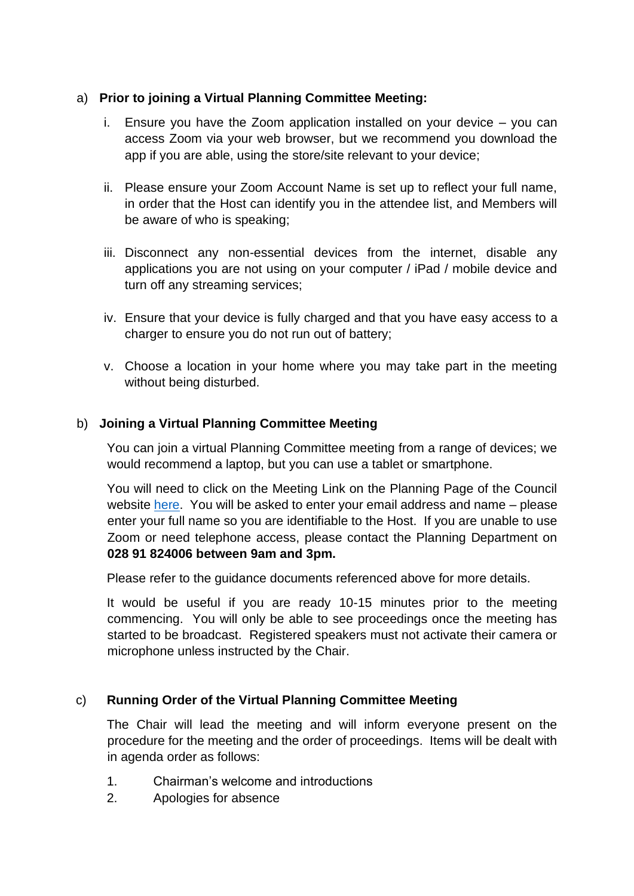### a) **Prior to joining a Virtual Planning Committee Meeting:**

- i. Ensure you have the Zoom application installed on your device you can access Zoom via your web browser, but we recommend you download the app if you are able, using the store/site relevant to your device;
- ii. Please ensure your Zoom Account Name is set up to reflect your full name, in order that the Host can identify you in the attendee list, and Members will be aware of who is speaking;
- iii. Disconnect any non-essential devices from the internet, disable any applications you are not using on your computer / iPad / mobile device and turn off any streaming services;
- iv. Ensure that your device is fully charged and that you have easy access to a charger to ensure you do not run out of battery;
- v. Choose a location in your home where you may take part in the meeting without being disturbed.

#### b) **Joining a Virtual Planning Committee Meeting**

You can join a virtual Planning Committee meeting from a range of devices; we would recommend a laptop, but you can use a tablet or smartphone.

You will need to click on the Meeting Link on the Planning Page of the Council website [here.](https://www.ardsandnorthdown.gov.uk/resident/planning/next-planning-committee) You will be asked to enter your email address and name – please enter your full name so you are identifiable to the Host. If you are unable to use Zoom or need telephone access, please contact the Planning Department on **028 91 824006 between 9am and 3pm.** 

Please refer to the guidance documents referenced above for more details.

It would be useful if you are ready 10-15 minutes prior to the meeting commencing. You will only be able to see proceedings once the meeting has started to be broadcast. Registered speakers must not activate their camera or microphone unless instructed by the Chair.

#### c) **Running Order of the Virtual Planning Committee Meeting**

The Chair will lead the meeting and will inform everyone present on the procedure for the meeting and the order of proceedings. Items will be dealt with in agenda order as follows:

- 1. Chairman's welcome and introductions
- 2. Apologies for absence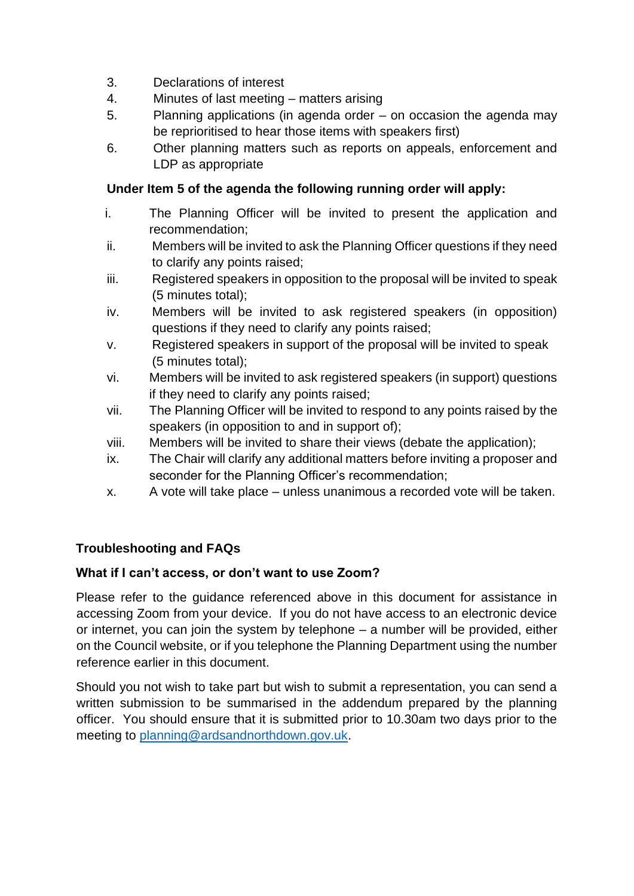- 3. Declarations of interest
- 4. Minutes of last meeting matters arising
- 5. Planning applications (in agenda order on occasion the agenda may be reprioritised to hear those items with speakers first)
- 6. Other planning matters such as reports on appeals, enforcement and LDP as appropriate

### **Under Item 5 of the agenda the following running order will apply:**

- i. The Planning Officer will be invited to present the application and recommendation;
- ii. Members will be invited to ask the Planning Officer questions if they need to clarify any points raised;
- iii. Registered speakers in opposition to the proposal will be invited to speak (5 minutes total);
- iv. Members will be invited to ask registered speakers (in opposition) questions if they need to clarify any points raised;
- v. Registered speakers in support of the proposal will be invited to speak (5 minutes total);
- vi. Members will be invited to ask registered speakers (in support) questions if they need to clarify any points raised;
- vii. The Planning Officer will be invited to respond to any points raised by the speakers (in opposition to and in support of);
- viii. Members will be invited to share their views (debate the application);
- ix. The Chair will clarify any additional matters before inviting a proposer and seconder for the Planning Officer's recommendation;
- x. A vote will take place unless unanimous a recorded vote will be taken.

# **Troubleshooting and FAQs**

### **What if I can't access, or don't want to use Zoom?**

Please refer to the guidance referenced above in this document for assistance in accessing Zoom from your device. If you do not have access to an electronic device or internet, you can join the system by telephone – a number will be provided, either on the Council website, or if you telephone the Planning Department using the number reference earlier in this document.

Should you not wish to take part but wish to submit a representation, you can send a written submission to be summarised in the addendum prepared by the planning officer. You should ensure that it is submitted prior to 10.30am two days prior to the meeting to planning@ardsandnorthdown.gov.uk.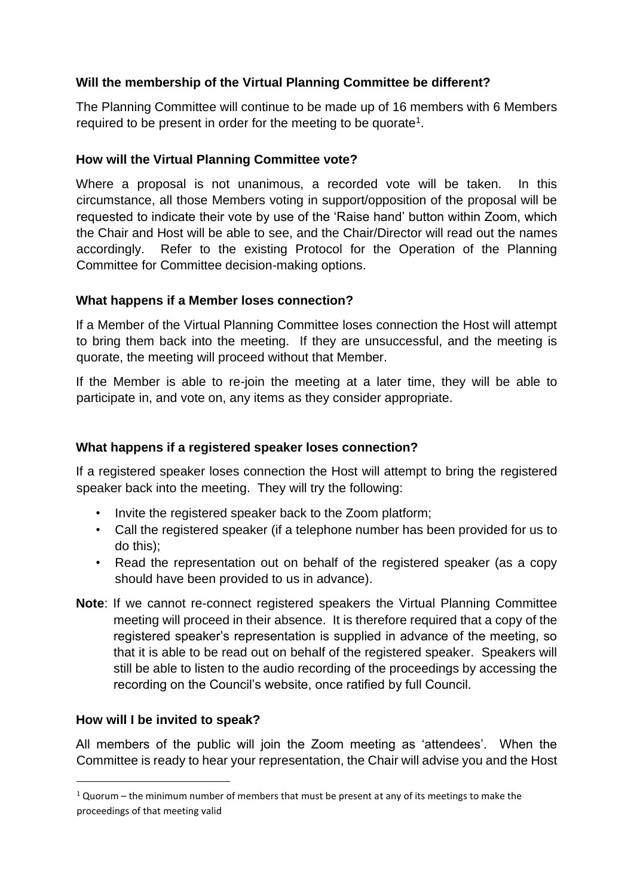### **Will the membership of the Virtual Planning Committee be different?**

The Planning Committee will continue to be made up of 16 members with 6 Members required to be present in order for the meeting to be quorate<sup>1</sup>.

### **How will the Virtual Planning Committee vote?**

Where a proposal is not unanimous, a recorded vote will be taken. In this circumstance, all those Members voting in support/opposition of the proposal will be requested to indicate their vote by use of the 'Raise hand' button within Zoom, which the Chair and Host will be able to see, and the Chair/Director will read out the names accordingly. Refer to the existing Protocol for the Operation of the Planning Committee for Committee decision-making options.

### **What happens if a Member loses connection?**

If a Member of the Virtual Planning Committee loses connection the Host will attempt to bring them back into the meeting. If they are unsuccessful, and the meeting is quorate, the meeting will proceed without that Member.

If the Member is able to re-join the meeting at a later time, they will be able to participate in, and vote on, any items as they consider appropriate.

# **What happens if a registered speaker loses connection?**

If a registered speaker loses connection the Host will attempt to bring the registered speaker back into the meeting. They will try the following:

- Invite the registered speaker back to the Zoom platform;
- Call the registered speaker (if a telephone number has been provided for us to do this);
- Read the representation out on behalf of the registered speaker (as a copy should have been provided to us in advance).
- **Note**: If we cannot re-connect registered speakers the Virtual Planning Committee meeting will proceed in their absence. It is therefore required that a copy of the registered speaker's representation is supplied in advance of the meeting, so that it is able to be read out on behalf of the registered speaker. Speakers will still be able to listen to the audio recording of the proceedings by accessing the recording on the Council's website, once ratified by full Council.

### **How will I be invited to speak?**

All members of the public will join the Zoom meeting as 'attendees'. When the Committee is ready to hear your representation, the Chair will advise you and the Host

 $1$  Quorum – the minimum number of members that must be present at any of its meetings to make the proceedings of that meeting valid